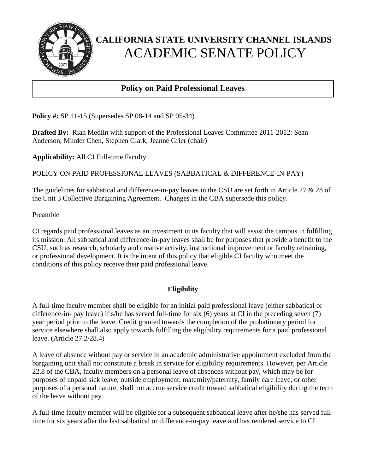

## **Policy on Paid Professional Leaves**

**Policy #:** SP 11-15 (Supersedes SP 08-14 and SP 05-34)

ī

**Drafted By:** Rian Medlin with support of the Professional Leaves Committee 2011-2012: Sean Anderson, Minder Chen, Stephen Clark, Jeanne Grier (chair)

**Applicability:** All CI Full-time Faculty

POLICY ON PAID PROFESSIONAL LEAVES (SABBATICAL & DIFFERENCE-IN-PAY)

The guidelines for sabbatical and difference-in-pay leaves in the CSU are set forth in Article 27 & 28 of the Unit 3 Collective Bargaining Agreement. Changes in the CBA supersede this policy.

#### Preamble

CI regards paid professional leaves as an investment in its faculty that will assist the campus in fulfilling its mission. All sabbatical and difference-in-pay leaves shall be for purposes that provide a benefit to the CSU, such as research, scholarly and creative activity, instructional improvement or faculty retraining, or professional development. It is the intent of this policy that eligible CI faculty who meet the conditions of this policy receive their paid professional leave.

### **Eligibility**

A full-time faculty member shall be eligible for an initial paid professional leave (either sabbatical or difference-in- pay leave) if s/he has served full-time for six (6) years at CI in the preceding seven (7) year period prior to the leave. Credit granted towards the completion of the probationary period for service elsewhere shall also apply towards fulfilling the eligibility requirements for a paid professional leave. (Article 27.2/28.4)

A leave of absence without pay or service in an academic administrative appointment excluded from the bargaining unit shall not constitute a break in service for eligibility requirements. However, per Article 22.8 of the CBA, faculty members on a personal leave of absences without pay, which may be for purposes of unpaid sick leave, outside employment, maternity/paternity, family care leave, or other purposes of a personal nature, shall not accrue service credit toward sabbatical eligibility during the term of the leave without pay.

A full-time faculty member will be eligible for a subsequent sabbatical leave after he/she has served fulltime for six years after the last sabbatical or difference-in-pay leave and has rendered service to CI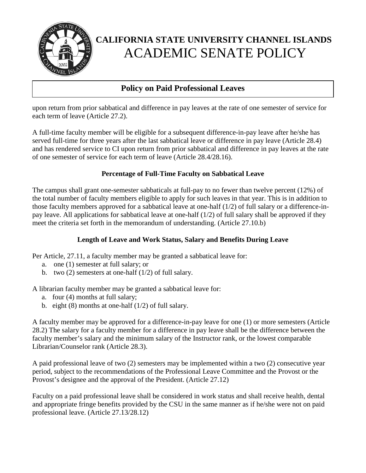

## **Policy on Paid Professional Leaves**

upon return from prior sabbatical and difference in pay leaves at the rate of one semester of service for each term of leave (Article 27.2).

A full-time faculty member will be eligible for a subsequent difference-in-pay leave after he/she has served full-time for three years after the last sabbatical leave or difference in pay leave (Article 28.4) and has rendered service to CI upon return from prior sabbatical and difference in pay leaves at the rate of one semester of service for each term of leave (Article 28.4/28.16).

### **Percentage of Full-Time Faculty on Sabbatical Leave**

The campus shall grant one-semester sabbaticals at full-pay to no fewer than twelve percent (12%) of the total number of faculty members eligible to apply for such leaves in that year. This is in addition to those faculty members approved for a sabbatical leave at one-half (1/2) of full salary or a difference-inpay leave. All applications for sabbatical leave at one-half (1/2) of full salary shall be approved if they meet the criteria set forth in the memorandum of understanding. (Article 27.10.b)

#### **Length of Leave and Work Status, Salary and Benefits During Leave**

Per Article, 27.11, a faculty member may be granted a sabbatical leave for:

- a. one (1) semester at full salary; or
- b. two (2) semesters at one-half (1/2) of full salary.

A librarian faculty member may be granted a sabbatical leave for:

- a. four (4) months at full salary;
- b. eight  $(8)$  months at one-half  $(1/2)$  of full salary.

A faculty member may be approved for a difference-in-pay leave for one (1) or more semesters (Article 28.2) The salary for a faculty member for a difference in pay leave shall be the difference between the faculty member's salary and the minimum salary of the Instructor rank, or the lowest comparable Librarian/Counselor rank (Article 28.3).

A paid professional leave of two (2) semesters may be implemented within a two (2) consecutive year period, subject to the recommendations of the Professional Leave Committee and the Provost or the Provost's designee and the approval of the President. (Article 27.12)

Faculty on a paid professional leave shall be considered in work status and shall receive health, dental and appropriate fringe benefits provided by the CSU in the same manner as if he/she were not on paid professional leave. (Article 27.13/28.12)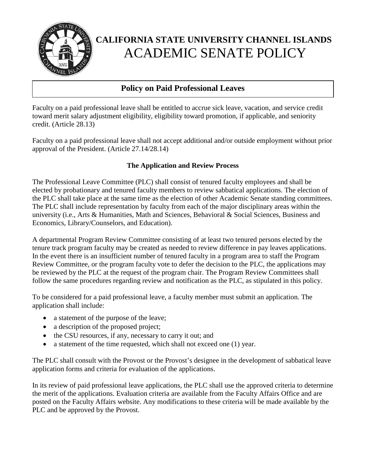

### **Policy on Paid Professional Leaves**

Faculty on a paid professional leave shall be entitled to accrue sick leave, vacation, and service credit toward merit salary adjustment eligibility, eligibility toward promotion, if applicable, and seniority credit. (Article 28.13)

Faculty on a paid professional leave shall not accept additional and/or outside employment without prior approval of the President. (Article 27.14/28.14)

### **The Application and Review Process**

The Professional Leave Committee (PLC) shall consist of tenured faculty employees and shall be elected by probationary and tenured faculty members to review sabbatical applications. The election of the PLC shall take place at the same time as the election of other Academic Senate standing committees. The PLC shall include representation by faculty from each of the major disciplinary areas within the university (i.e., Arts & Humanities, Math and Sciences, Behavioral & Social Sciences, Business and Economics, Library/Counselors, and Education).

A departmental Program Review Committee consisting of at least two tenured persons elected by the tenure track program faculty may be created as needed to review difference in pay leaves applications. In the event there is an insufficient number of tenured faculty in a program area to staff the Program Review Committee, or the program faculty vote to defer the decision to the PLC, the applications may be reviewed by the PLC at the request of the program chair. The Program Review Committees shall follow the same procedures regarding review and notification as the PLC, as stipulated in this policy.

To be considered for a paid professional leave, a faculty member must submit an application. The application shall include:

- a statement of the purpose of the leave;
- a description of the proposed project;
- the CSU resources, if any, necessary to carry it out; and
- a statement of the time requested, which shall not exceed one (1) year.

The PLC shall consult with the Provost or the Provost's designee in the development of sabbatical leave application forms and criteria for evaluation of the applications.

In its review of paid professional leave applications, the PLC shall use the approved criteria to determine the merit of the applications. Evaluation criteria are available from the Faculty Affairs Office and are posted on the Faculty Affairs website. Any modifications to these criteria will be made available by the PLC and be approved by the Provost.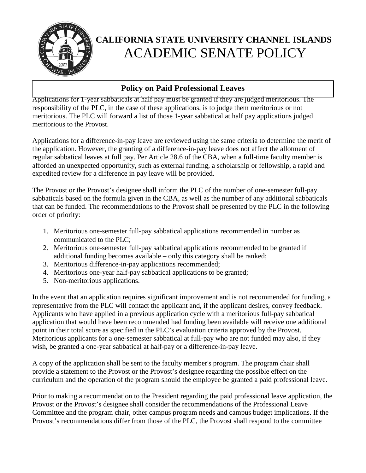

### **Policy on Paid Professional Leaves**

Applications for 1-year sabbaticals at half pay must be granted if they are judged meritorious. The responsibility of the PLC, in the case of these applications, is to judge them meritorious or not meritorious. The PLC will forward a list of those 1-year sabbatical at half pay applications judged meritorious to the Provost.

Applications for a difference-in-pay leave are reviewed using the same criteria to determine the merit of the application. However, the granting of a difference-in-pay leave does not affect the allotment of regular sabbatical leaves at full pay. Per Article 28.6 of the CBA, when a full-time faculty member is afforded an unexpected opportunity, such as external funding, a scholarship or fellowship, a rapid and expedited review for a difference in pay leave will be provided.

The Provost or the Provost's designee shall inform the PLC of the number of one-semester full-pay sabbaticals based on the formula given in the CBA, as well as the number of any additional sabbaticals that can be funded. The recommendations to the Provost shall be presented by the PLC in the following order of priority:

- 1. Meritorious one-semester full-pay sabbatical applications recommended in number as communicated to the PLC;
- 2. Meritorious one-semester full-pay sabbatical applications recommended to be granted if additional funding becomes available – only this category shall be ranked;
- 3. Meritorious difference-in-pay applications recommended;
- 4. Meritorious one-year half-pay sabbatical applications to be granted;
- 5. Non-meritorious applications.

In the event that an application requires significant improvement and is not recommended for funding, a representative from the PLC will contact the applicant and, if the applicant desires, convey feedback. Applicants who have applied in a previous application cycle with a meritorious full-pay sabbatical application that would have been recommended had funding been available will receive one additional point in their total score as specified in the PLC's evaluation criteria approved by the Provost. Meritorious applicants for a one-semester sabbatical at full-pay who are not funded may also, if they wish, be granted a one-year sabbatical at half-pay or a difference-in-pay leave.

A copy of the application shall be sent to the faculty member's program. The program chair shall provide a statement to the Provost or the Provost's designee regarding the possible effect on the curriculum and the operation of the program should the employee be granted a paid professional leave.

Prior to making a recommendation to the President regarding the paid professional leave application, the Provost or the Provost's designee shall consider the recommendations of the Professional Leave Committee and the program chair, other campus program needs and campus budget implications. If the Provost's recommendations differ from those of the PLC, the Provost shall respond to the committee